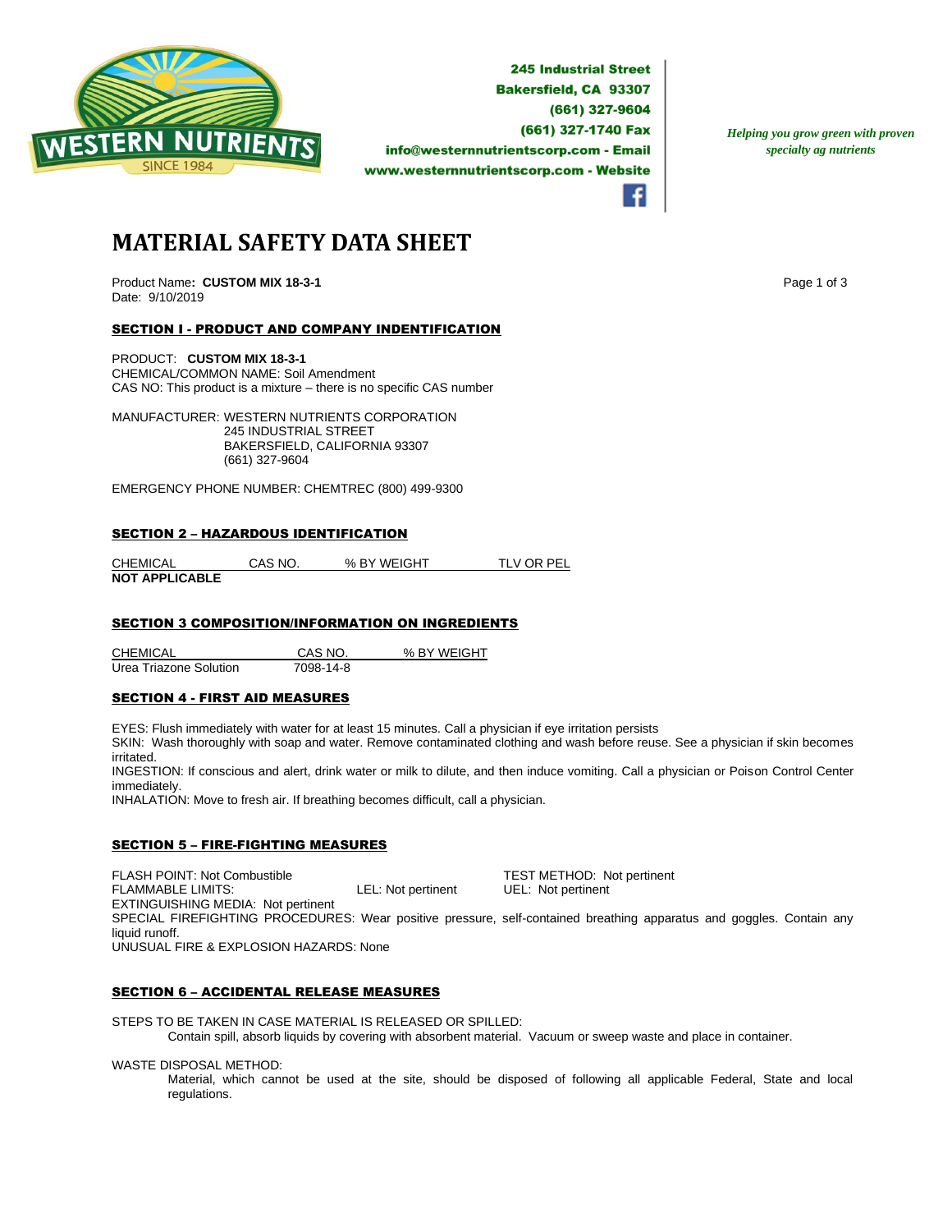

**245 Industrial Street Bakersfield, CA 93307** (661) 327-9604 (661) 327-1740 Fax info@westernnutrientscorp.com - Email www.westernnutrientscorp.com - Website

*Helping you grow green with proven specialty ag nutrients*

**MATERIAL SAFETY DATA SHEET**

Product Name: **CUSTOM MIX 18-3-1 Page 1 of 3 Page 1 of 3** Date: 9/10/2019

# SECTION I - PRODUCT AND COMPANY INDENTIFICATION

PRODUCT: **CUSTOM MIX 18-3-1** CHEMICAL/COMMON NAME: Soil Amendment CAS NO: This product is a mixture – there is no specific CAS number

MANUFACTURER: WESTERN NUTRIENTS CORPORATION 245 INDUSTRIAL STREET BAKERSFIELD, CALIFORNIA 93307 (661) 327-9604

EMERGENCY PHONE NUMBER: CHEMTREC (800) 499-9300

### SECTION 2 – HAZARDOUS IDENTIFICATION

CHEMICAL CAS NO. % BY WEIGHT TLV OR PEL **NOT APPLICABLE** 

# **SECTION 3 COMPOSITION/INFORMATION ON INGREDIENTS**

CHEMICAL CAS NO. % BY WEIGHT Urea Triazone Solution 7098-14-8

#### SECTION 4 - FIRST AID MEASURES

EYES: Flush immediately with water for at least 15 minutes. Call a physician if eye irritation persists

SKIN: Wash thoroughly with soap and water. Remove contaminated clothing and wash before reuse. See a physician if skin becomes irritated.

INGESTION: If conscious and alert, drink water or milk to dilute, and then induce vomiting. Call a physician or Poison Control Center immediately.

INHALATION: Move to fresh air. If breathing becomes difficult, call a physician.

## SECTION 5 – FIRE-FIGHTING MEASURES

FLASH POINT: Not Combustible **TEST METHOD:** Not pertinent<br>
FLAMMABLE LIMITS: COMBUST LEL: Not pertinent UEL: Not pertinent FLAMMABLE LIMITS: LEL: Not pertinent UEL: Not pertinent EXTINGUISHING MEDIA: Not pertinent SPECIAL FIREFIGHTING PROCEDURES: Wear positive pressure, self-contained breathing apparatus and goggles. Contain any liquid runoff. UNUSUAL FIRE & EXPLOSION HAZARDS: None

### SECTION 6 – ACCIDENTAL RELEASE MEASURES

STEPS TO BE TAKEN IN CASE MATERIAL IS RELEASED OR SPILLED: Contain spill, absorb liquids by covering with absorbent material. Vacuum or sweep waste and place in container.

WASTE DISPOSAL METHOD:

Material, which cannot be used at the site, should be disposed of following all applicable Federal, State and local regulations.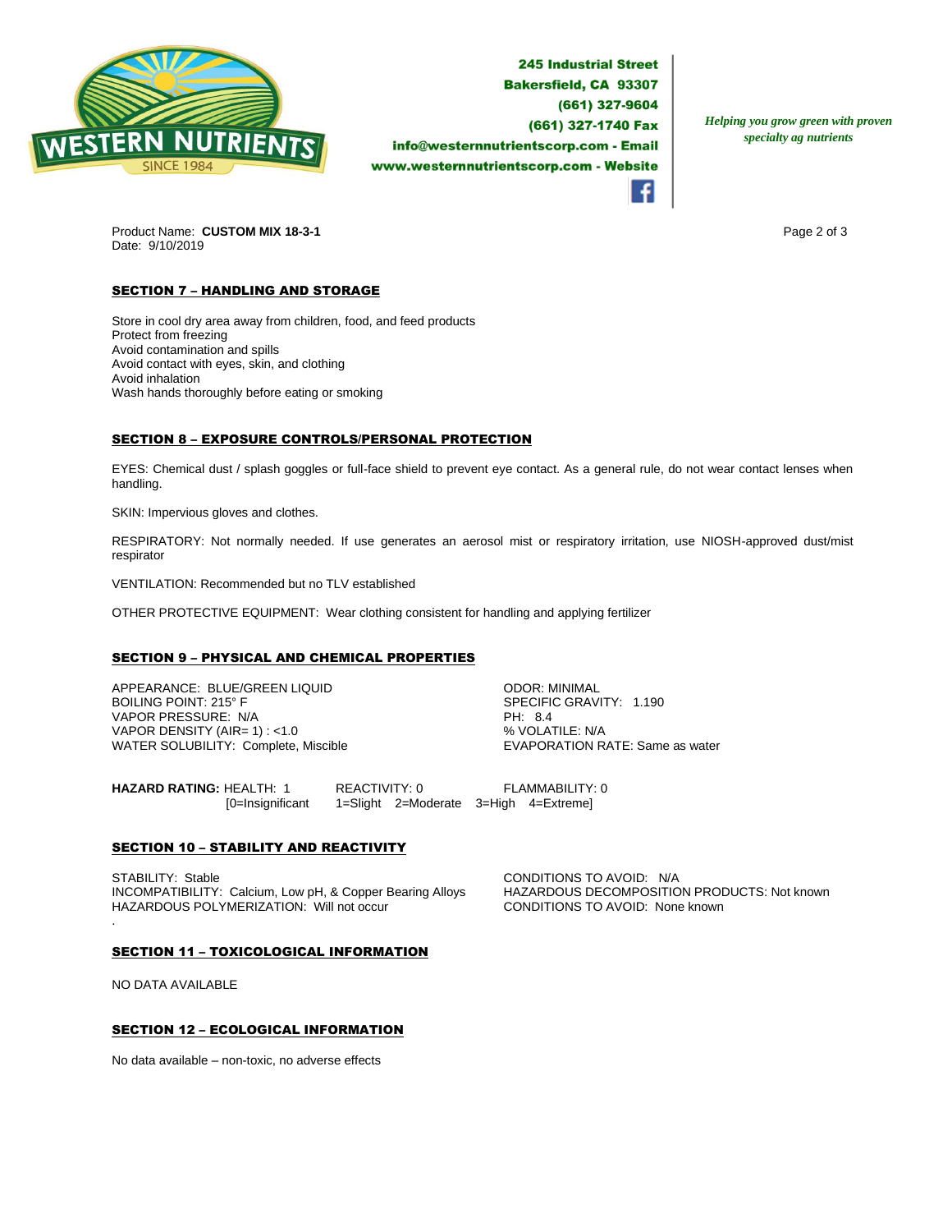

**245 Industrial Street Bakersfield, CA 93307** (661) 327-9604 (661) 327-1740 Fax info@westernnutrientscorp.com - Email www.westernnutrientscorp.com - Website

*Helping you grow green with proven specialty ag nutrients*

Product Name: **CUSTOM MIX 18-3-1 Page 2 of 3 Page 2 of 3** Date: 9/10/2019

# **SECTION 7 - HANDLING AND STORAGE**

Store in cool dry area away from children, food, and feed products Protect from freezing Avoid contamination and spills Avoid contact with eyes, skin, and clothing Avoid inhalation Wash hands thoroughly before eating or smoking

## SECTION 8 – EXPOSURE CONTROLS/PERSONAL PROTECTION

EYES: Chemical dust / splash goggles or full-face shield to prevent eye contact. As a general rule, do not wear contact lenses when handling.

SKIN: Impervious gloves and clothes.

RESPIRATORY: Not normally needed. If use generates an aerosol mist or respiratory irritation, use NIOSH-approved dust/mist respirator

VENTILATION: Recommended but no TLV established

OTHER PROTECTIVE EQUIPMENT: Wear clothing consistent for handling and applying fertilizer

## SECTION 9 – PHYSICAL AND CHEMICAL PROPERTIES

APPEARANCE: BLUE/GREEN LIQUID ODOR: MINIMAL VAPOR PRESSURE: N/A PH: 8.4 VAPOR DENSITY (AIR= 1) : <1.0<br>
WATER SOLUBILITY: Complete, Miscible  $\begin{array}{c} \text{WAYN} = \text{WAYN} \\ \text{WAYN} = \text{WAYN} \end{array}$ WATER SOLUBILITY: Complete, Miscible

SPECIFIC GRAVITY: 1.190

**HAZARD RATING:** HEALTH: 1 REACTIVITY: 0 FLAMMABILITY: 0 [0=Insignificant 1=Slight 2=Moderate 3=High 4=Extreme]

## **SECTION 10 - STABILITY AND REACTIVITY**

STABILITY: Stable Calcium, Low pH, & Copper Bearing Alloys CONDITIONS TO AVOID: N/A<br>COMPATIBILITY: Calcium, Low pH, & Copper Bearing Alloys HAZARDOUS DECOMPOSITION PRODUCTS: Not known INCOMPATIBILITY: Calcium, Low pH, & Copper Bearing Alloys HAZARDOUS POLYMERIZATION: Will not occur CONDITIONS TO AVOID: None known .

#### SECTION 11 – TOXICOLOGICAL INFORMATION

NO DATA AVAILABLE

## SECTION 12 – ECOLOGICAL INFORMATION

No data available – non-toxic, no adverse effects